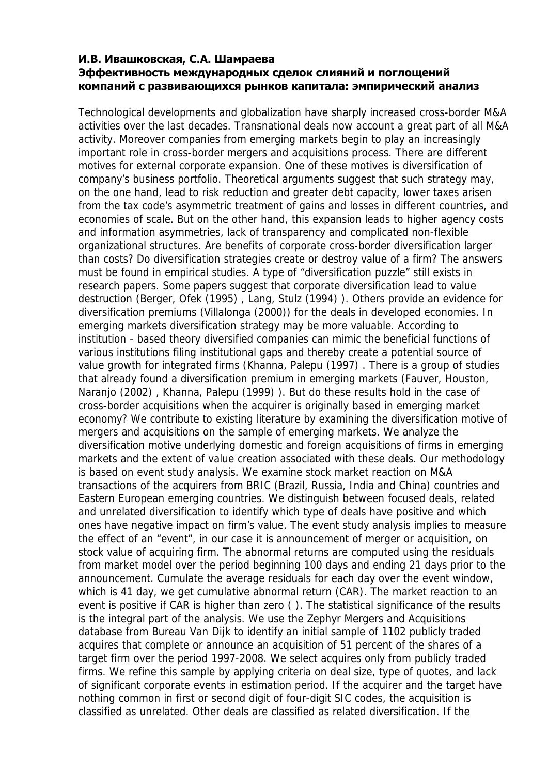## **И.В. Ивашковская, С.А. Шамраева Эффективность международных сделок слияний и поглощений компаний с развивающихся рынков капитала: эмпирический анализ**

Technological developments and globalization have sharply increased cross-border M&A activities over the last decades. Transnational deals now account a great part of all M&A activity. Moreover companies from emerging markets begin to play an increasingly important role in cross-border mergers and acquisitions process. There are different motives for external corporate expansion. One of these motives is diversification of company's business portfolio. Theoretical arguments suggest that such strategy may, on the one hand, lead to risk reduction and greater debt capacity, lower taxes arisen from the tax code's asymmetric treatment of gains and losses in different countries, and economies of scale. But on the other hand, this expansion leads to higher agency costs and information asymmetries, lack of transparency and complicated non-flexible organizational structures. Are benefits of corporate cross-border diversification larger than costs? Do diversification strategies create or destroy value of a firm? The answers must be found in empirical studies. A type of "diversification puzzle" still exists in research papers. Some papers suggest that corporate diversification lead to value destruction (Berger, Ofek (1995) , Lang, Stulz (1994) ). Others provide an evidence for diversification premiums (Villalonga (2000)) for the deals in developed economies. In emerging markets diversification strategy may be more valuable. According to institution - based theory diversified companies can mimic the beneficial functions of various institutions filing institutional gaps and thereby create a potential source of value growth for integrated firms (Khanna, Palepu (1997) . There is a group of studies that already found a diversification premium in emerging markets (Fauver, Houston, Naranjo (2002) , Khanna, Palepu (1999) ). But do these results hold in the case of cross-border acquisitions when the acquirer is originally based in emerging market economy? We contribute to existing literature by examining the diversification motive of mergers and acquisitions on the sample of emerging markets. We analyze the diversification motive underlying domestic and foreign acquisitions of firms in emerging markets and the extent of value creation associated with these deals. Our methodology is based on event study analysis. We examine stock market reaction on M&A transactions of the acquirers from BRIC (Brazil, Russia, India and China) countries and Eastern European emerging countries. We distinguish between focused deals, related and unrelated diversification to identify which type of deals have positive and which ones have negative impact on firm's value. The event study analysis implies to measure the effect of an "event", in our case it is announcement of merger or acquisition, on stock value of acquiring firm. The abnormal returns are computed using the residuals from market model over the period beginning 100 days and ending 21 days prior to the announcement. Cumulate the average residuals for each day over the event window, which is 41 day, we get cumulative abnormal return (CAR). The market reaction to an event is positive if CAR is higher than zero ( ). The statistical significance of the results is the integral part of the analysis. We use the Zephyr Mergers and Acquisitions database from Bureau Van Dijk to identify an initial sample of 1102 publicly traded acquires that complete or announce an acquisition of 51 percent of the shares of a target firm over the period 1997-2008. We select acquires only from publicly traded firms. We refine this sample by applying criteria on deal size, type of quotes, and lack of significant corporate events in estimation period. If the acquirer and the target have nothing common in first or second digit of four-digit SIC codes, the acquisition is classified as unrelated. Other deals are classified as related diversification. If the